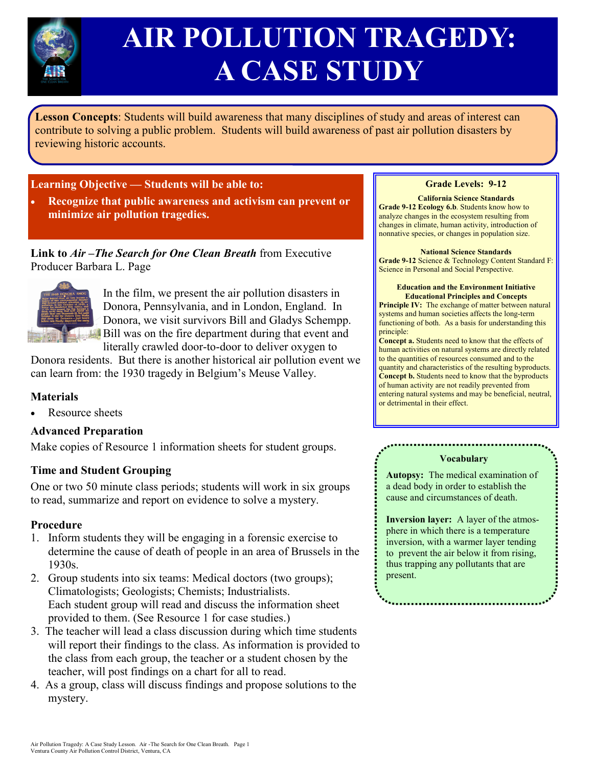

# AIR POLLUTION TRAGEDY: A CASE STUDY

Lesson Concepts: Students will build awareness that many disciplines of study and areas of interest can contribute to solving a public problem. Students will build awareness of past air pollution disasters by reviewing historic accounts.

#### Learning Objective — Students will be able to:

• Recognize that public awareness and activism can prevent or minimize air pollution tragedies.

Link to Air – The Search for One Clean Breath from Executive Producer Barbara L. Page



In the film, we present the air pollution disasters in Donora, Pennsylvania, and in London, England. In Donora, we visit survivors Bill and Gladys Schempp. Bill was on the fire department during that event and literally crawled door-to-door to deliver oxygen to

Donora residents. But there is another historical air pollution event we can learn from: the 1930 tragedy in Belgium's Meuse Valley.

#### **Materials**

Resource sheets

#### Advanced Preparation

Make copies of Resource 1 information sheets for student groups.

#### Time and Student Grouping

One or two 50 minute class periods; students will work in six groups to read, summarize and report on evidence to solve a mystery.

#### Procedure

- 1. Inform students they will be engaging in a forensic exercise to determine the cause of death of people in an area of Brussels in the 1930s.
- 2. Group students into six teams: Medical doctors (two groups); Climatologists; Geologists; Chemists; Industrialists. Each student group will read and discuss the information sheet provided to them. (See Resource 1 for case studies.)
- 3. The teacher will lead a class discussion during which time students will report their findings to the class. As information is provided to the class from each group, the teacher or a student chosen by the teacher, will post findings on a chart for all to read.
- 4. As a group, class will discuss findings and propose solutions to the mystery.

#### Grade Levels: 9-12

California Science Standards Grade 9-12 Ecology 6.b. Students know how to analyze changes in the ecosystem resulting from changes in climate, human activity, introduction of nonnative species, or changes in population size.

National Science Standards Grade 9-12 Science & Technology Content Standard F: Science in Personal and Social Perspective.

#### Education and the Environment Initiative Educational Principles and Concepts

Principle IV: The exchange of matter between natural systems and human societies affects the long-term functioning of both. As a basis for understanding this principle:

Concept a. Students need to know that the effects of human activities on natural systems are directly related to the quantities of resources consumed and to the quantity and characteristics of the resulting byproducts. Concept b. Students need to know that the byproducts of human activity are not readily prevented from entering natural systems and may be beneficial, neutral, or detrimental in their effect.

#### Vocabulary

Autopsy: The medical examination of a dead body in order to establish the cause and circumstances of death.

Inversion layer: A layer of the atmosphere in which there is a temperature inversion, with a warmer layer tending to prevent the air below it from rising, thus trapping any pollutants that are present.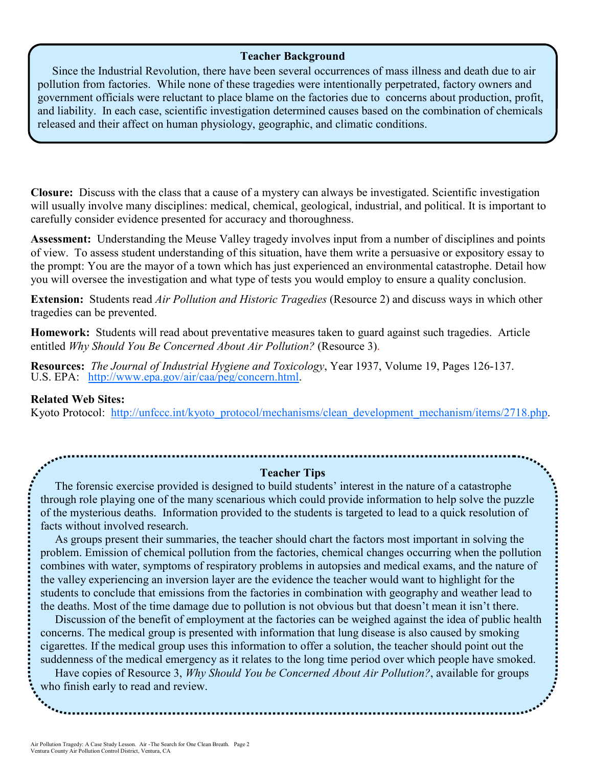#### Teacher Background

 Since the Industrial Revolution, there have been several occurrences of mass illness and death due to air pollution from factories. While none of these tragedies were intentionally perpetrated, factory owners and government officials were reluctant to place blame on the factories due to concerns about production, profit, and liability. In each case, scientific investigation determined causes based on the combination of chemicals released and their affect on human physiology, geographic, and climatic conditions.

Closure: Discuss with the class that a cause of a mystery can always be investigated. Scientific investigation will usually involve many disciplines: medical, chemical, geological, industrial, and political. It is important to carefully consider evidence presented for accuracy and thoroughness.

Assessment: Understanding the Meuse Valley tragedy involves input from a number of disciplines and points of view. To assess student understanding of this situation, have them write a persuasive or expository essay to the prompt: You are the mayor of a town which has just experienced an environmental catastrophe. Detail how you will oversee the investigation and what type of tests you would employ to ensure a quality conclusion.

Extension: Students read Air Pollution and Historic Tragedies (Resource 2) and discuss ways in which other tragedies can be prevented.

Homework: Students will read about preventative measures taken to guard against such tragedies. Article entitled Why Should You Be Concerned About Air Pollution? (Resource 3).

Resources: The Journal of Industrial Hygiene and Toxicology, Year 1937, Volume 19, Pages 126-137. U.S. EPA: http://www.epa.gov/air/caa/peg/concern.html.

#### Related Web Sites:

Kyoto Protocol: http://unfccc.int/kyoto\_protocol/mechanisms/clean\_development\_mechanism/items/2718.php.

#### Teacher Tips

 The forensic exercise provided is designed to build students' interest in the nature of a catastrophe through role playing one of the many scenarious which could provide information to help solve the puzzle of the mysterious deaths. Information provided to the students is targeted to lead to a quick resolution of facts without involved research.

 As groups present their summaries, the teacher should chart the factors most important in solving the problem. Emission of chemical pollution from the factories, chemical changes occurring when the pollution combines with water, symptoms of respiratory problems in autopsies and medical exams, and the nature of the valley experiencing an inversion layer are the evidence the teacher would want to highlight for the students to conclude that emissions from the factories in combination with geography and weather lead to the deaths. Most of the time damage due to pollution is not obvious but that doesn't mean it isn't there.

 Discussion of the benefit of employment at the factories can be weighed against the idea of public health concerns. The medical group is presented with information that lung disease is also caused by smoking cigarettes. If the medical group uses this information to offer a solution, the teacher should point out the suddenness of the medical emergency as it relates to the long time period over which people have smoked.

Have copies of Resource 3, Why Should You be Concerned About Air Pollution?, available for groups who finish early to read and review.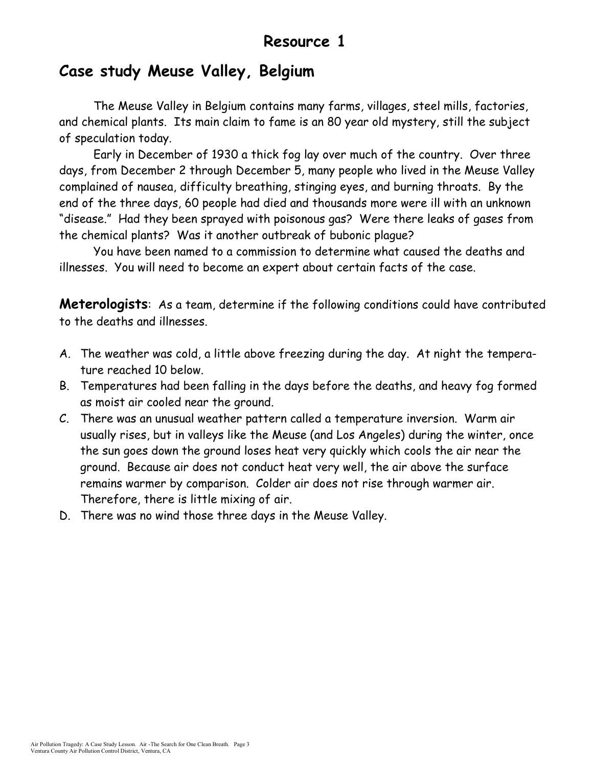### Case study Meuse Valley, Belgium

The Meuse Valley in Belgium contains many farms, villages, steel mills, factories, and chemical plants. Its main claim to fame is an 80 year old mystery, still the subject of speculation today.

 Early in December of 1930 a thick fog lay over much of the country. Over three days, from December 2 through December 5, many people who lived in the Meuse Valley complained of nausea, difficulty breathing, stinging eyes, and burning throats. By the end of the three days, 60 people had died and thousands more were ill with an unknown "disease." Had they been sprayed with poisonous gas? Were there leaks of gases from the chemical plants? Was it another outbreak of bubonic plague?

 You have been named to a commission to determine what caused the deaths and illnesses. You will need to become an expert about certain facts of the case.

**Meterologists:** As a team, determine if the following conditions could have contributed to the deaths and illnesses.

- A. The weather was cold, a little above freezing during the day. At night the temperature reached 10 below.
- B. Temperatures had been falling in the days before the deaths, and heavy fog formed as moist air cooled near the ground.
- C. There was an unusual weather pattern called a temperature inversion. Warm air usually rises, but in valleys like the Meuse (and Los Angeles) during the winter, once the sun goes down the ground loses heat very quickly which cools the air near the ground. Because air does not conduct heat very well, the air above the surface remains warmer by comparison. Colder air does not rise through warmer air. Therefore, there is little mixing of air.
- D. There was no wind those three days in the Meuse Valley.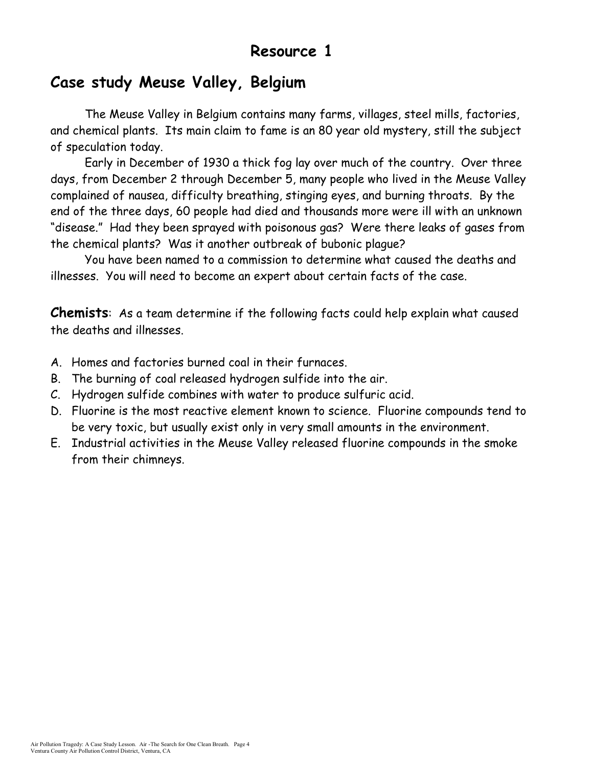# Case study Meuse Valley, Belgium

The Meuse Valley in Belgium contains many farms, villages, steel mills, factories, and chemical plants. Its main claim to fame is an 80 year old mystery, still the subject of speculation today.

 Early in December of 1930 a thick fog lay over much of the country. Over three days, from December 2 through December 5, many people who lived in the Meuse Valley complained of nausea, difficulty breathing, stinging eyes, and burning throats. By the end of the three days, 60 people had died and thousands more were ill with an unknown "disease." Had they been sprayed with poisonous gas? Were there leaks of gases from the chemical plants? Was it another outbreak of bubonic plague?

 You have been named to a commission to determine what caused the deaths and illnesses. You will need to become an expert about certain facts of the case.

Chemists: As a team determine if the following facts could help explain what caused the deaths and illnesses.

- A. Homes and factories burned coal in their furnaces.
- B. The burning of coal released hydrogen sulfide into the air.
- C. Hydrogen sulfide combines with water to produce sulfuric acid.
- D. Fluorine is the most reactive element known to science. Fluorine compounds tend to be very toxic, but usually exist only in very small amounts in the environment.
- E. Industrial activities in the Meuse Valley released fluorine compounds in the smoke from their chimneys.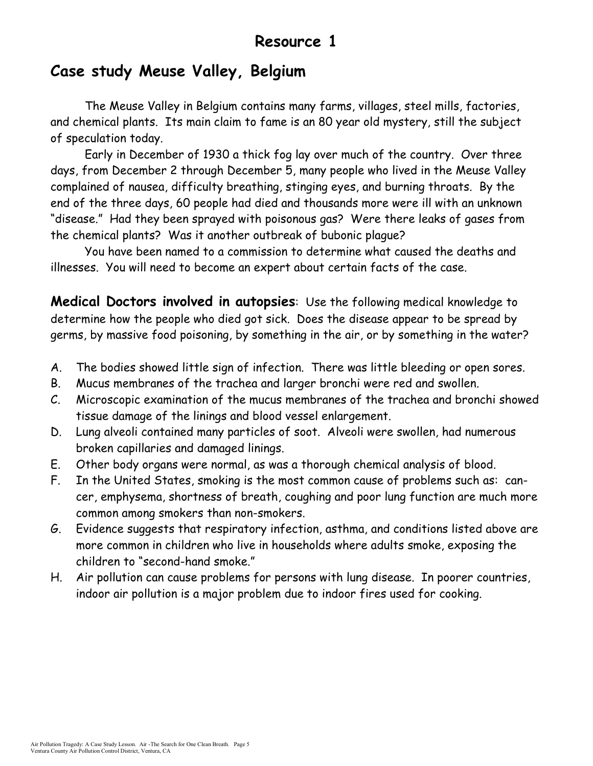### Case study Meuse Valley, Belgium

The Meuse Valley in Belgium contains many farms, villages, steel mills, factories, and chemical plants. Its main claim to fame is an 80 year old mystery, still the subject of speculation today.

 Early in December of 1930 a thick fog lay over much of the country. Over three days, from December 2 through December 5, many people who lived in the Meuse Valley complained of nausea, difficulty breathing, stinging eyes, and burning throats. By the end of the three days, 60 people had died and thousands more were ill with an unknown "disease." Had they been sprayed with poisonous gas? Were there leaks of gases from the chemical plants? Was it another outbreak of bubonic plague?

 You have been named to a commission to determine what caused the deaths and illnesses. You will need to become an expert about certain facts of the case.

Medical Doctors involved in autopsies: Use the following medical knowledge to determine how the people who died got sick. Does the disease appear to be spread by germs, by massive food poisoning, by something in the air, or by something in the water?

- A. The bodies showed little sign of infection. There was little bleeding or open sores.
- B. Mucus membranes of the trachea and larger bronchi were red and swollen.
- C. Microscopic examination of the mucus membranes of the trachea and bronchi showed tissue damage of the linings and blood vessel enlargement.
- D. Lung alveoli contained many particles of soot. Alveoli were swollen, had numerous broken capillaries and damaged linings.
- E. Other body organs were normal, as was a thorough chemical analysis of blood.
- F. In the United States, smoking is the most common cause of problems such as: cancer, emphysema, shortness of breath, coughing and poor lung function are much more common among smokers than non-smokers.
- G. Evidence suggests that respiratory infection, asthma, and conditions listed above are more common in children who live in households where adults smoke, exposing the children to "second-hand smoke."
- H. Air pollution can cause problems for persons with lung disease. In poorer countries, indoor air pollution is a major problem due to indoor fires used for cooking.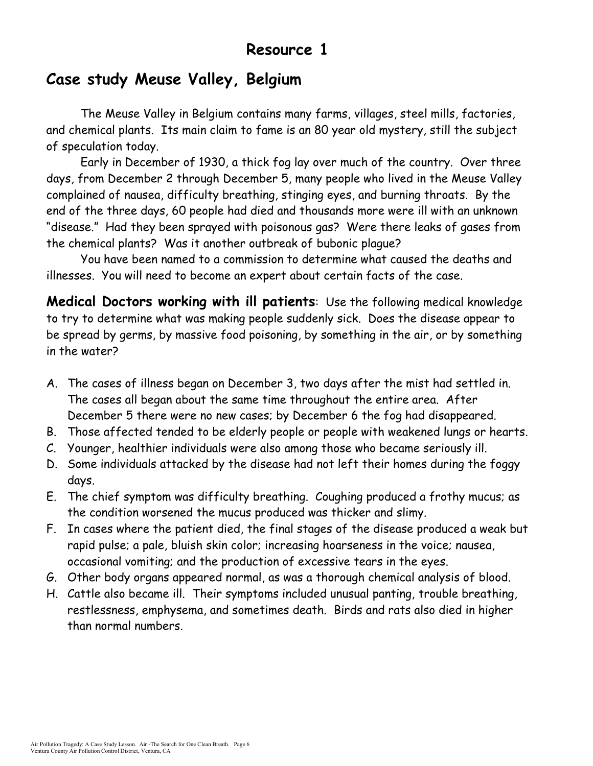# Case study Meuse Valley, Belgium

The Meuse Valley in Belgium contains many farms, villages, steel mills, factories, and chemical plants. Its main claim to fame is an 80 year old mystery, still the subject of speculation today.

 Early in December of 1930, a thick fog lay over much of the country. Over three days, from December 2 through December 5, many people who lived in the Meuse Valley complained of nausea, difficulty breathing, stinging eyes, and burning throats. By the end of the three days, 60 people had died and thousands more were ill with an unknown "disease." Had they been sprayed with poisonous gas? Were there leaks of gases from the chemical plants? Was it another outbreak of bubonic plague?

 You have been named to a commission to determine what caused the deaths and illnesses. You will need to become an expert about certain facts of the case.

Medical Doctors working with ill patients: Use the following medical knowledge to try to determine what was making people suddenly sick. Does the disease appear to be spread by germs, by massive food poisoning, by something in the air, or by something in the water?

- A. The cases of illness began on December 3, two days after the mist had settled in. The cases all began about the same time throughout the entire area. After December 5 there were no new cases; by December 6 the fog had disappeared.
- B. Those affected tended to be elderly people or people with weakened lungs or hearts.
- C. Younger, healthier individuals were also among those who became seriously ill.
- D. Some individuals attacked by the disease had not left their homes during the foggy days.
- E. The chief symptom was difficulty breathing. Coughing produced a frothy mucus; as the condition worsened the mucus produced was thicker and slimy.
- F. In cases where the patient died, the final stages of the disease produced a weak but rapid pulse; a pale, bluish skin color; increasing hoarseness in the voice; nausea, occasional vomiting; and the production of excessive tears in the eyes.
- G. Other body organs appeared normal, as was a thorough chemical analysis of blood.
- H. Cattle also became ill. Their symptoms included unusual panting, trouble breathing, restlessness, emphysema, and sometimes death. Birds and rats also died in higher than normal numbers.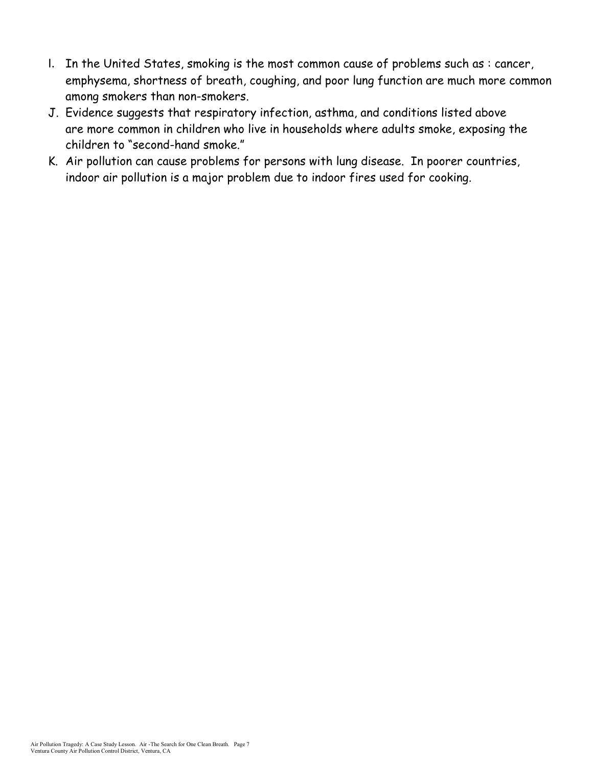- I. In the United States, smoking is the most common cause of problems such as : cancer, emphysema, shortness of breath, coughing, and poor lung function are much more common among smokers than non-smokers.
- J. Evidence suggests that respiratory infection, asthma, and conditions listed above are more common in children who live in households where adults smoke, exposing the children to "second-hand smoke."
- K. Air pollution can cause problems for persons with lung disease. In poorer countries, indoor air pollution is a major problem due to indoor fires used for cooking.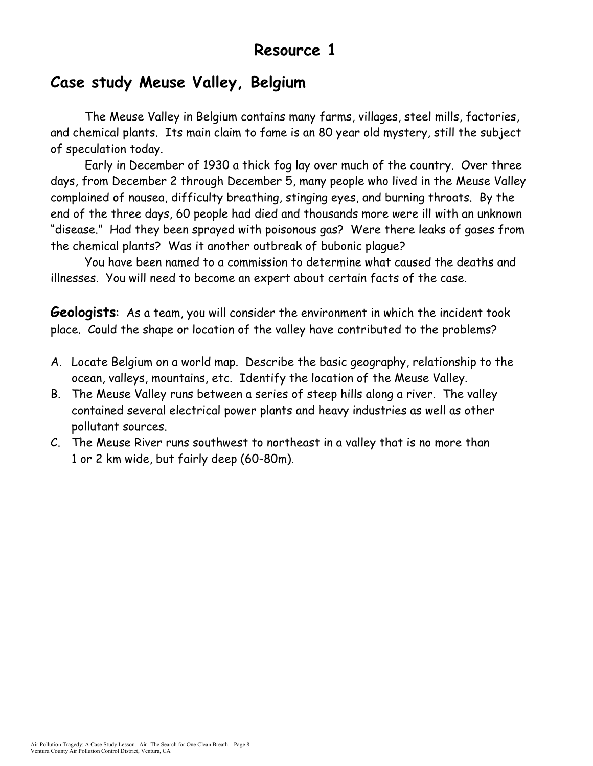# Case study Meuse Valley, Belgium

The Meuse Valley in Belgium contains many farms, villages, steel mills, factories, and chemical plants. Its main claim to fame is an 80 year old mystery, still the subject of speculation today.

 Early in December of 1930 a thick fog lay over much of the country. Over three days, from December 2 through December 5, many people who lived in the Meuse Valley complained of nausea, difficulty breathing, stinging eyes, and burning throats. By the end of the three days, 60 people had died and thousands more were ill with an unknown "disease." Had they been sprayed with poisonous gas? Were there leaks of gases from the chemical plants? Was it another outbreak of bubonic plague?

 You have been named to a commission to determine what caused the deaths and illnesses. You will need to become an expert about certain facts of the case.

Geologists: As a team, you will consider the environment in which the incident took place. Could the shape or location of the valley have contributed to the problems?

- A. Locate Belgium on a world map. Describe the basic geography, relationship to the ocean, valleys, mountains, etc. Identify the location of the Meuse Valley.
- B. The Meuse Valley runs between a series of steep hills along a river. The valley contained several electrical power plants and heavy industries as well as other pollutant sources.
- C. The Meuse River runs southwest to northeast in a valley that is no more than 1 or 2 km wide, but fairly deep (60-80m).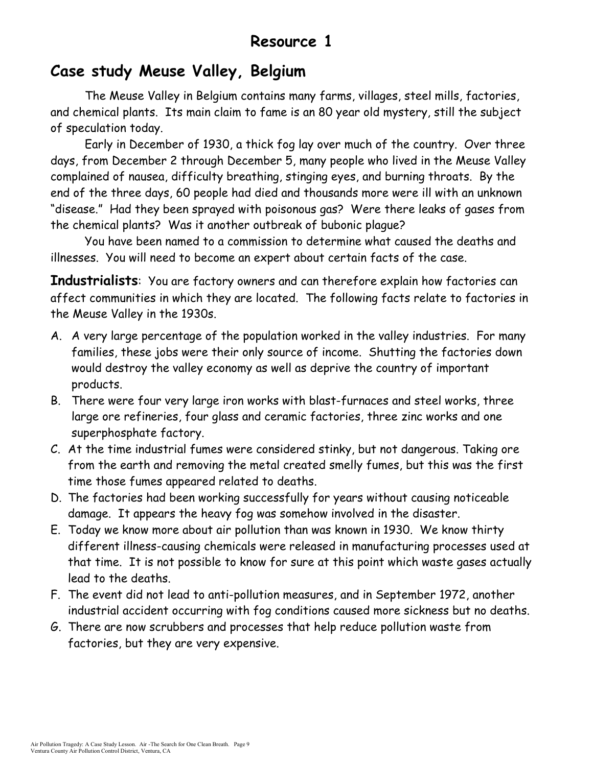# Case study Meuse Valley, Belgium

The Meuse Valley in Belgium contains many farms, villages, steel mills, factories, and chemical plants. Its main claim to fame is an 80 year old mystery, still the subject of speculation today.

 Early in December of 1930, a thick fog lay over much of the country. Over three days, from December 2 through December 5, many people who lived in the Meuse Valley complained of nausea, difficulty breathing, stinging eyes, and burning throats. By the end of the three days, 60 people had died and thousands more were ill with an unknown "disease." Had they been sprayed with poisonous gas? Were there leaks of gases from the chemical plants? Was it another outbreak of bubonic plague?

 You have been named to a commission to determine what caused the deaths and illnesses. You will need to become an expert about certain facts of the case.

**Industrialists:** You are factory owners and can therefore explain how factories can affect communities in which they are located. The following facts relate to factories in the Meuse Valley in the 1930s.

- A. A very large percentage of the population worked in the valley industries. For many families, these jobs were their only source of income. Shutting the factories down would destroy the valley economy as well as deprive the country of important products.
- B. There were four very large iron works with blast-furnaces and steel works, three large ore refineries, four glass and ceramic factories, three zinc works and one superphosphate factory.
- C. At the time industrial fumes were considered stinky, but not dangerous. Taking ore from the earth and removing the metal created smelly fumes, but this was the first time those fumes appeared related to deaths.
- D. The factories had been working successfully for years without causing noticeable damage. It appears the heavy fog was somehow involved in the disaster.
- E. Today we know more about air pollution than was known in 1930. We know thirty different illness-causing chemicals were released in manufacturing processes used at that time. It is not possible to know for sure at this point which waste gases actually lead to the deaths.
- F. The event did not lead to anti-pollution measures, and in September 1972, another industrial accident occurring with fog conditions caused more sickness but no deaths.
- G. There are now scrubbers and processes that help reduce pollution waste from factories, but they are very expensive.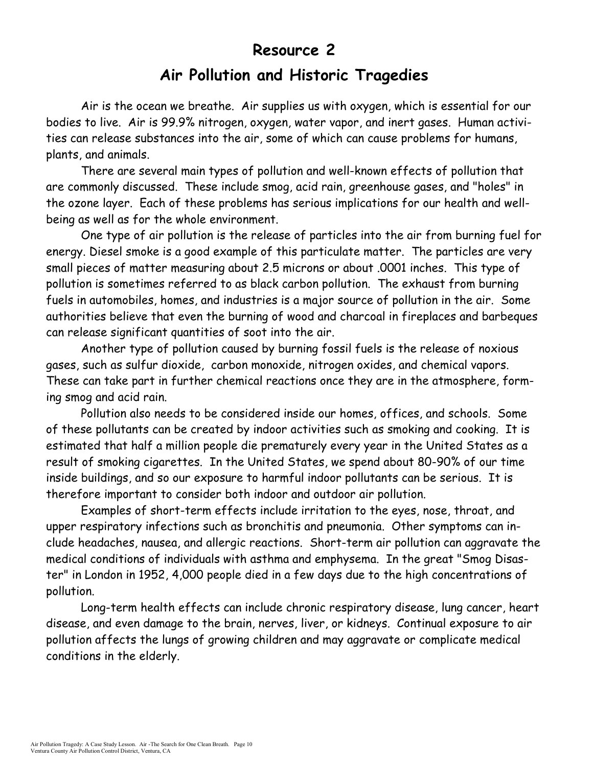## Air Pollution and Historic Tragedies

 Air is the ocean we breathe. Air supplies us with oxygen, which is essential for our bodies to live. Air is 99.9% nitrogen, oxygen, water vapor, and inert gases. Human activities can release substances into the air, some of which can cause problems for humans, plants, and animals.

 There are several main types of pollution and well-known effects of pollution that are commonly discussed. These include smog, acid rain, greenhouse gases, and "holes" in the ozone layer. Each of these problems has serious implications for our health and wellbeing as well as for the whole environment.

 One type of air pollution is the release of particles into the air from burning fuel for energy. Diesel smoke is a good example of this particulate matter. The particles are very small pieces of matter measuring about 2.5 microns or about .0001 inches. This type of pollution is sometimes referred to as black carbon pollution. The exhaust from burning fuels in automobiles, homes, and industries is a major source of pollution in the air. Some authorities believe that even the burning of wood and charcoal in fireplaces and barbeques can release significant quantities of soot into the air.

 Another type of pollution caused by burning fossil fuels is the release of noxious gases, such as sulfur dioxide, carbon monoxide, nitrogen oxides, and chemical vapors. These can take part in further chemical reactions once they are in the atmosphere, forming smog and acid rain.

 Pollution also needs to be considered inside our homes, offices, and schools. Some of these pollutants can be created by indoor activities such as smoking and cooking. It is estimated that half a million people die prematurely every year in the United States as a result of smoking cigarettes. In the United States, we spend about 80-90% of our time inside buildings, and so our exposure to harmful indoor pollutants can be serious. It is therefore important to consider both indoor and outdoor air pollution.

 Examples of short-term effects include irritation to the eyes, nose, throat, and upper respiratory infections such as bronchitis and pneumonia. Other symptoms can include headaches, nausea, and allergic reactions. Short-term air pollution can aggravate the medical conditions of individuals with asthma and emphysema. In the great "Smog Disaster" in London in 1952, 4,000 people died in a few days due to the high concentrations of pollution.

 Long-term health effects can include chronic respiratory disease, lung cancer, heart disease, and even damage to the brain, nerves, liver, or kidneys. Continual exposure to air pollution affects the lungs of growing children and may aggravate or complicate medical conditions in the elderly.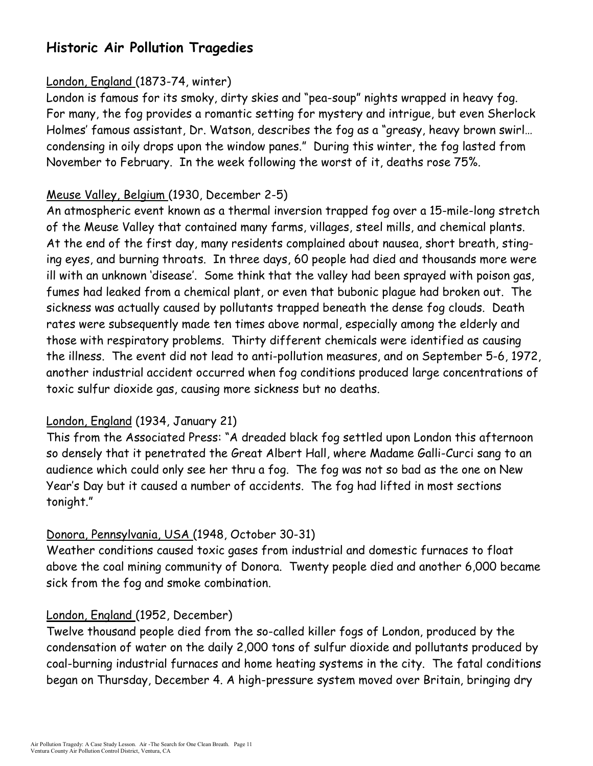### Historic Air Pollution Tragedies

#### London, England (1873-74, winter)

London is famous for its smoky, dirty skies and "pea-soup" nights wrapped in heavy fog. For many, the fog provides a romantic setting for mystery and intrigue, but even Sherlock Holmes' famous assistant, Dr. Watson, describes the fog as a "greasy, heavy brown swirl… condensing in oily drops upon the window panes." During this winter, the fog lasted from November to February. In the week following the worst of it, deaths rose 75%.

#### Meuse Valley, Belgium (1930, December 2-5)

An atmospheric event known as a thermal inversion trapped fog over a 15-mile-long stretch of the Meuse Valley that contained many farms, villages, steel mills, and chemical plants. At the end of the first day, many residents complained about nausea, short breath, stinging eyes, and burning throats. In three days, 60 people had died and thousands more were ill with an unknown 'disease'. Some think that the valley had been sprayed with poison gas, fumes had leaked from a chemical plant, or even that bubonic plague had broken out. The sickness was actually caused by pollutants trapped beneath the dense fog clouds. Death rates were subsequently made ten times above normal, especially among the elderly and those with respiratory problems. Thirty different chemicals were identified as causing the illness. The event did not lead to anti-pollution measures, and on September 5-6, 1972, another industrial accident occurred when fog conditions produced large concentrations of toxic sulfur dioxide gas, causing more sickness but no deaths.

### London, England (1934, January 21)

This from the Associated Press: "A dreaded black fog settled upon London this afternoon so densely that it penetrated the Great Albert Hall, where Madame Galli-Curci sang to an audience which could only see her thru a fog. The fog was not so bad as the one on New Year's Day but it caused a number of accidents. The fog had lifted in most sections tonight."

### Donora, Pennsylvania, USA (1948, October 30-31)

Weather conditions caused toxic gases from industrial and domestic furnaces to float above the coal mining community of Donora. Twenty people died and another 6,000 became sick from the fog and smoke combination.

#### London, England (1952, December)

Twelve thousand people died from the so-called killer fogs of London, produced by the condensation of water on the daily 2,000 tons of sulfur dioxide and pollutants produced by coal-burning industrial furnaces and home heating systems in the city. The fatal conditions began on Thursday, December 4. A high-pressure system moved over Britain, bringing dry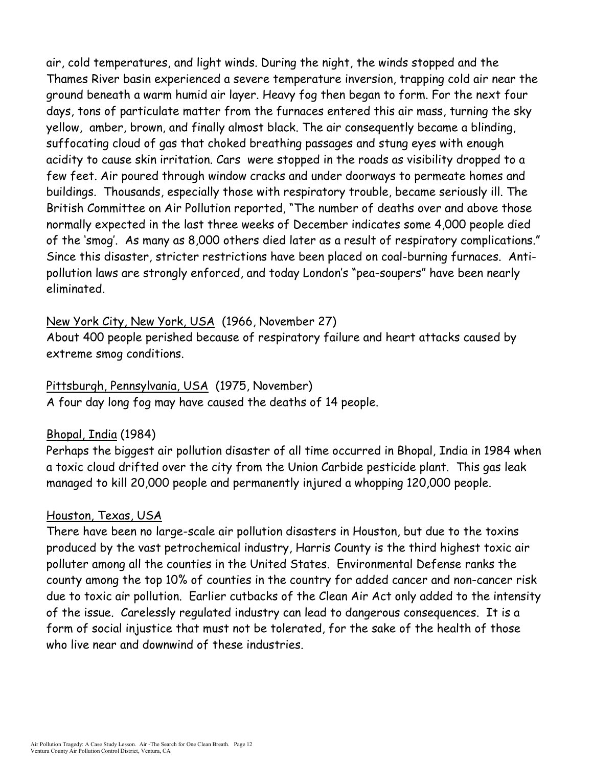air, cold temperatures, and light winds. During the night, the winds stopped and the Thames River basin experienced a severe temperature inversion, trapping cold air near the ground beneath a warm humid air layer. Heavy fog then began to form. For the next four days, tons of particulate matter from the furnaces entered this air mass, turning the sky yellow, amber, brown, and finally almost black. The air consequently became a blinding, suffocating cloud of gas that choked breathing passages and stung eyes with enough acidity to cause skin irritation. Cars were stopped in the roads as visibility dropped to a few feet. Air poured through window cracks and under doorways to permeate homes and buildings. Thousands, especially those with respiratory trouble, became seriously ill. The British Committee on Air Pollution reported, "The number of deaths over and above those normally expected in the last three weeks of December indicates some 4,000 people died of the 'smog'. As many as 8,000 others died later as a result of respiratory complications." Since this disaster, stricter restrictions have been placed on coal-burning furnaces. Antipollution laws are strongly enforced, and today London's "pea-soupers" have been nearly eliminated.

#### New York City, New York, USA (1966, November 27)

About 400 people perished because of respiratory failure and heart attacks caused by extreme smog conditions.

#### Pittsburgh, Pennsylvania, USA (1975, November)

A four day long fog may have caused the deaths of 14 people.

#### Bhopal, India (1984)

Perhaps the biggest air pollution disaster of all time occurred in Bhopal, India in 1984 when a toxic cloud drifted over the city from the Union Carbide pesticide plant. This gas leak managed to kill 20,000 people and permanently injured a whopping 120,000 people.

#### Houston, Texas, USA

There have been no large-scale air pollution disasters in Houston, but due to the toxins produced by the vast petrochemical industry, Harris County is the third highest toxic air polluter among all the counties in the United States. Environmental Defense ranks the county among the top 10% of counties in the country for added cancer and non-cancer risk due to toxic air pollution. Earlier cutbacks of the Clean Air Act only added to the intensity of the issue. Carelessly regulated industry can lead to dangerous consequences. It is a form of social injustice that must not be tolerated, for the sake of the health of those who live near and downwind of these industries.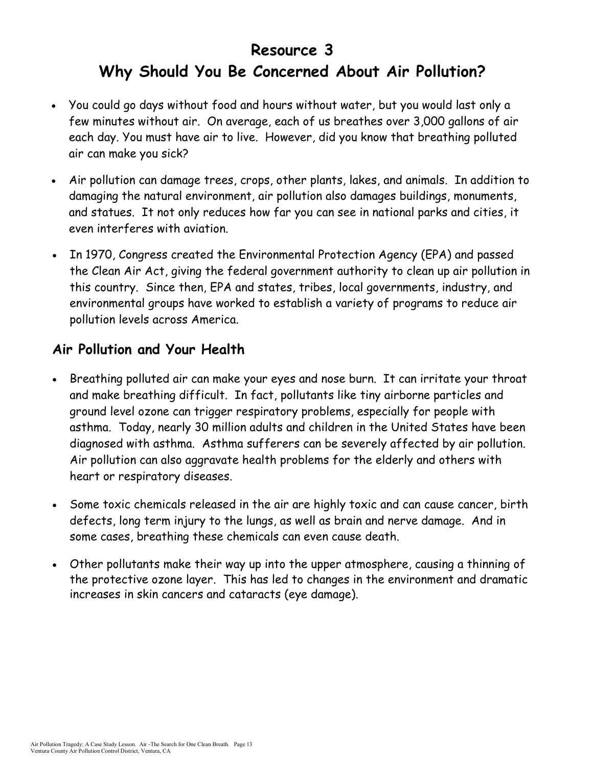# Resource 3 Why Should You Be Concerned About Air Pollution?

- You could go days without food and hours without water, but you would last only a few minutes without air. On average, each of us breathes over 3,000 gallons of air each day. You must have air to live. However, did you know that breathing polluted air can make you sick?
- Air pollution can damage trees, crops, other plants, lakes, and animals. In addition to damaging the natural environment, air pollution also damages buildings, monuments, and statues. It not only reduces how far you can see in national parks and cities, it even interferes with aviation.
- In 1970, Congress created the Environmental Protection Agency (EPA) and passed the Clean Air Act, giving the federal government authority to clean up air pollution in this country. Since then, EPA and states, tribes, local governments, industry, and environmental groups have worked to establish a variety of programs to reduce air pollution levels across America.

### Air Pollution and Your Health

- Breathing polluted air can make your eyes and nose burn. It can irritate your throat and make breathing difficult. In fact, pollutants like tiny airborne particles and ground level ozone can trigger respiratory problems, especially for people with asthma. Today, nearly 30 million adults and children in the United States have been diagnosed with asthma. Asthma sufferers can be severely affected by air pollution. Air pollution can also aggravate health problems for the elderly and others with heart or respiratory diseases.
- Some toxic chemicals released in the air are highly toxic and can cause cancer, birth defects, long term injury to the lungs, as well as brain and nerve damage. And in some cases, breathing these chemicals can even cause death.
- Other pollutants make their way up into the upper atmosphere, causing a thinning of the protective ozone layer. This has led to changes in the environment and dramatic increases in skin cancers and cataracts (eye damage).